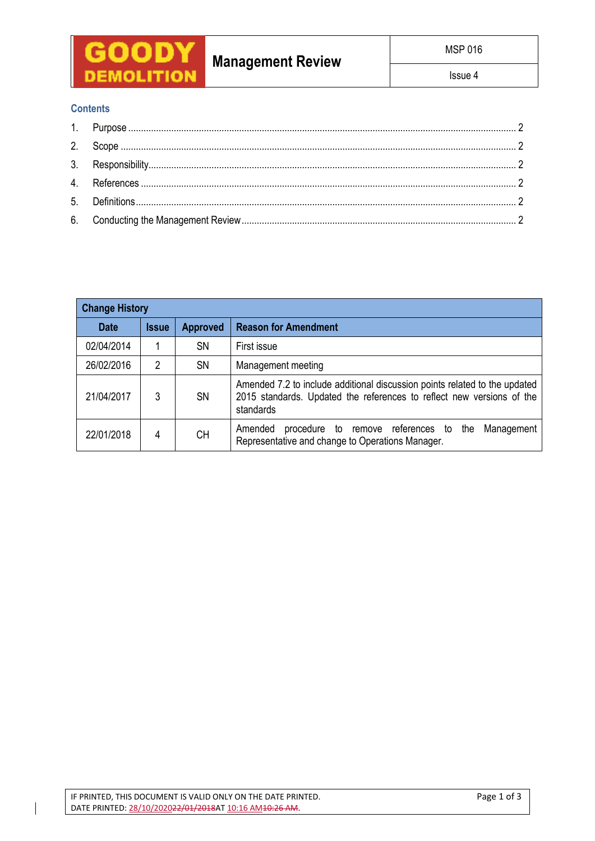

# **Management Review**

Issue 4

# **Contents**

| <b>Change History</b> |              |                 |                                                                                                                                                                  |  |  |  |  |
|-----------------------|--------------|-----------------|------------------------------------------------------------------------------------------------------------------------------------------------------------------|--|--|--|--|
| <b>Date</b>           | <b>Issue</b> | <b>Approved</b> | <b>Reason for Amendment</b>                                                                                                                                      |  |  |  |  |
| 02/04/2014            |              | <b>SN</b>       | First issue                                                                                                                                                      |  |  |  |  |
| 26/02/2016            | 2            | <b>SN</b>       | Management meeting                                                                                                                                               |  |  |  |  |
| 21/04/2017            | 3            | <b>SN</b>       | Amended 7.2 to include additional discussion points related to the updated<br>2015 standards. Updated the references to reflect new versions of the<br>standards |  |  |  |  |
| 22/01/2018            | 4            | <b>CH</b>       | Amended<br>remove references to the<br>Management<br>procedure<br>to<br>Representative and change to Operations Manager.                                         |  |  |  |  |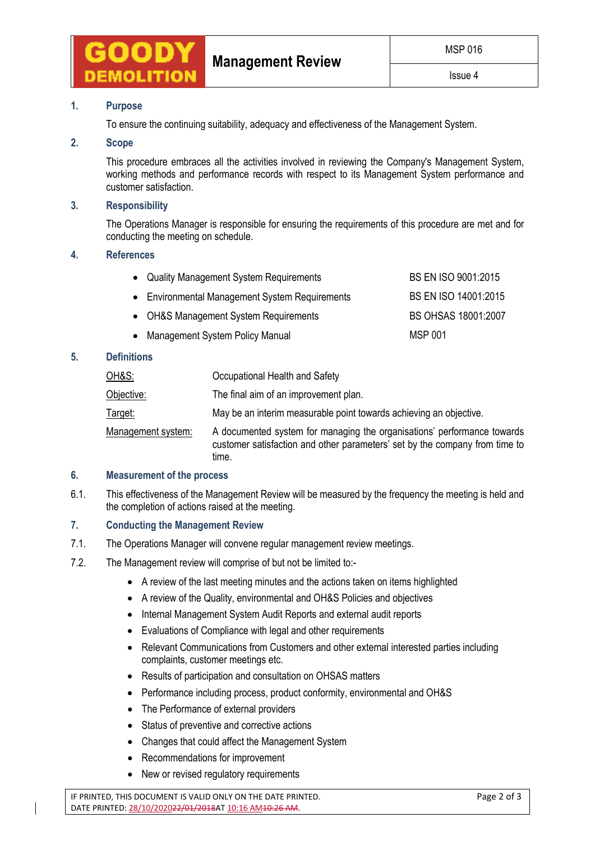

# **1. Purpose**

To ensure the continuing suitability, adequacy and effectiveness of the Management System.

#### **2. Scope**

This procedure embraces all the activities involved in reviewing the Company's Management System, working methods and performance records with respect to its Management System performance and customer satisfaction.

## **3. Responsibility**

The Operations Manager is responsible for ensuring the requirements of this procedure are met and for conducting the meeting on schedule.

#### **4. References**

| • Quality Management System Requirements       | BS EN ISO 9001:2015  |
|------------------------------------------------|----------------------|
| • Environmental Management System Requirements | BS EN ISO 14001:2015 |
| • OH&S Management System Requirements          | BS OHSAS 18001:2007  |
| • Management System Policy Manual              | <b>MSP 001</b>       |

#### **5. Definitions**

| <u>OH&amp;S:</u>   | Occupational Health and Safety                                                                                                                                  |
|--------------------|-----------------------------------------------------------------------------------------------------------------------------------------------------------------|
| Objective:         | The final aim of an improvement plan.                                                                                                                           |
| Target:            | May be an interim measurable point towards achieving an objective.                                                                                              |
| Management system: | A documented system for managing the organisations' performance towards<br>customer satisfaction and other parameters' set by the company from time to<br>time. |

## **6. Measurement of the process**

6.1. This effectiveness of the Management Review will be measured by the frequency the meeting is held and the completion of actions raised at the meeting.

## **7. Conducting the Management Review**

- 7.1. The Operations Manager will convene regular management review meetings.
- 7.2. The Management review will comprise of but not be limited to:-
	- A review of the last meeting minutes and the actions taken on items highlighted
	- A review of the Quality, environmental and OH&S Policies and objectives
	- Internal Management System Audit Reports and external audit reports
	- Evaluations of Compliance with legal and other requirements
	- Relevant Communications from Customers and other external interested parties including complaints, customer meetings etc.
	- Results of participation and consultation on OHSAS matters
	- Performance including process, product conformity, environmental and OH&S
	- The Performance of external providers
	- Status of preventive and corrective actions
	- Changes that could affect the Management System
	- Recommendations for improvement
	- New or revised regulatory requirements